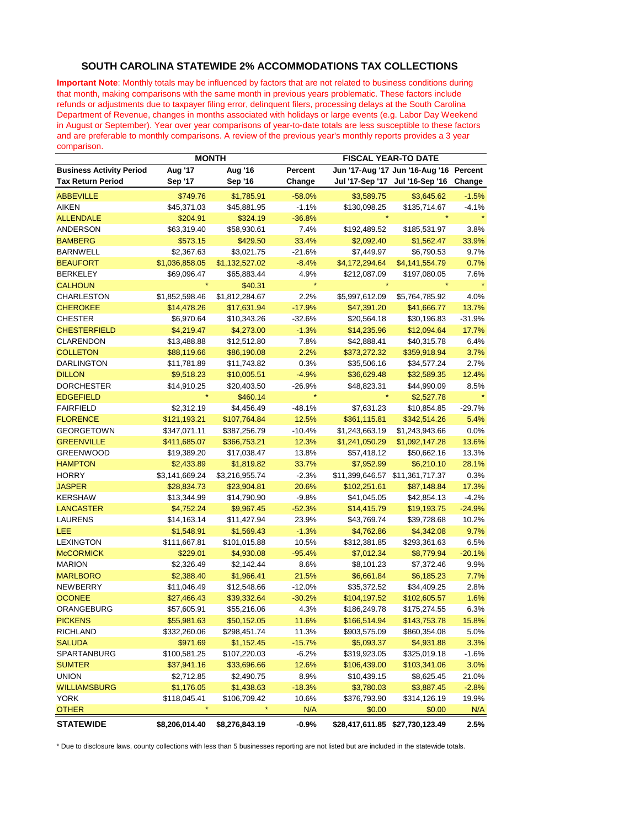## **SOUTH CAROLINA STATEWIDE 2% ACCOMMODATIONS TAX COLLECTIONS**

**Important Note**: Monthly totals may be influenced by factors that are not related to business conditions during that month, making comparisons with the same month in previous years problematic. These factors include refunds or adjustments due to taxpayer filing error, delinquent filers, processing delays at the South Carolina Department of Revenue, changes in months associated with holidays or large events (e.g. Labor Day Weekend in August or September). Year over year comparisons of year-to-date totals are less susceptible to these factors and are preferable to monthly comparisons. A review of the previous year's monthly reports provides a 3 year comparison.

|                                 | <b>MONTH</b>   |                |          |                                 | <b>FISCAL YEAR-TO DATE</b>              |          |  |
|---------------------------------|----------------|----------------|----------|---------------------------------|-----------------------------------------|----------|--|
| <b>Business Activity Period</b> | <b>Aug '17</b> | Aug '16        | Percent  |                                 | Jun '17-Aug '17 Jun '16-Aug '16 Percent |          |  |
| <b>Tax Return Period</b>        | Sep '17        | <b>Sep '16</b> | Change   |                                 | Jul '17-Sep '17 Jul '16-Sep '16         | Change   |  |
| <b>ABBEVILLE</b>                | \$749.76       | \$1,785.91     | $-58.0%$ | \$3,589.75                      | \$3,645.62                              | $-1.5%$  |  |
| <b>AIKEN</b>                    | \$45,371.03    | \$45,881.95    | $-1.1%$  | \$130,098.25                    | \$135,714.67                            | $-4.1%$  |  |
| <b>ALLENDALE</b>                | \$204.91       | \$324.19       | $-36.8%$ |                                 |                                         |          |  |
| ANDERSON                        | \$63,319.40    | \$58,930.61    | 7.4%     | \$192,489.52                    | \$185,531.97                            | 3.8%     |  |
| <b>BAMBERG</b>                  | \$573.15       | \$429.50       | 33.4%    | \$2,092.40                      | \$1,562.47                              | 33.9%    |  |
| <b>BARNWELL</b>                 | \$2,367.63     | \$3,021.75     | $-21.6%$ | \$7,449.97                      | \$6,790.53                              | 9.7%     |  |
| <b>BEAUFORT</b>                 | \$1,036,858.05 | \$1,132,527.02 | $-8.4%$  | \$4,172,294.64                  | \$4,141,554.79                          | 0.7%     |  |
| <b>BERKELEY</b>                 | \$69,096.47    | \$65,883.44    | 4.9%     | \$212,087.09                    | \$197,080.05                            | 7.6%     |  |
| <b>CALHOUN</b>                  |                | \$40.31        | $\star$  |                                 |                                         |          |  |
| <b>CHARLESTON</b>               | \$1,852,598.46 | \$1,812,284.67 | 2.2%     | \$5,997,612.09                  | \$5,764,785.92                          | 4.0%     |  |
| <b>CHEROKEE</b>                 | \$14,478.26    | \$17,631.94    | $-17.9%$ | \$47,391.20                     | \$41,666.77                             | 13.7%    |  |
| <b>CHESTER</b>                  | \$6,970.64     | \$10,343.26    | $-32.6%$ | \$20,564.18                     | \$30,196.83                             | $-31.9%$ |  |
| <b>CHESTERFIELD</b>             | \$4,219.47     | \$4,273.00     | $-1.3%$  | \$14,235.96                     | \$12,094.64                             | 17.7%    |  |
| <b>CLARENDON</b>                | \$13,488.88    | \$12,512.80    | 7.8%     | \$42,888.41                     | \$40,315.78                             | 6.4%     |  |
| <b>COLLETON</b>                 | \$88,119.66    | \$86,190.08    | 2.2%     | \$373,272.32                    | \$359,918.94                            | 3.7%     |  |
| <b>DARLINGTON</b>               | \$11,781.89    | \$11,743.82    | 0.3%     | \$35,506.16                     | \$34,577.24                             | 2.7%     |  |
| <b>DILLON</b>                   | \$9,518.23     | \$10,005.51    | $-4.9%$  | \$36,629.48                     | \$32,589.35                             | 12.4%    |  |
| <b>DORCHESTER</b>               | \$14,910.25    | \$20,403.50    | -26.9%   | \$48,823.31                     | \$44,990.09                             | 8.5%     |  |
| <b>EDGEFIELD</b>                |                | \$460.14       | $\star$  |                                 | \$2,527.78                              |          |  |
| <b>FAIRFIELD</b>                | \$2,312.19     | \$4,456.49     | $-48.1%$ | \$7,631.23                      | \$10,854.85                             | $-29.7%$ |  |
| <b>FLORENCE</b>                 | \$121,193.21   | \$107,764.84   | 12.5%    | \$361,115.81                    | \$342,514.26                            | 5.4%     |  |
| <b>GEORGETOWN</b>               | \$347,071.11   | \$387,256.79   | $-10.4%$ | \$1,243,663.19                  | \$1,243,943.66                          | 0.0%     |  |
| <b>GREENVILLE</b>               | \$411,685.07   | \$366,753.21   | 12.3%    | \$1,241,050.29                  | \$1,092,147.28                          | 13.6%    |  |
| <b>GREENWOOD</b>                | \$19,389.20    | \$17,038.47    | 13.8%    | \$57,418.12                     | \$50,662.16                             | 13.3%    |  |
| <b>HAMPTON</b>                  | \$2,433.89     | \$1,819.82     | 33.7%    | \$7,952.99                      | \$6,210.10                              | 28.1%    |  |
| <b>HORRY</b>                    | \$3,141,669.24 | \$3,216,955.74 | $-2.3%$  |                                 | \$11,399,646.57 \$11,361,717.37         | 0.3%     |  |
| <b>JASPER</b>                   | \$28,834.73    | \$23,904.81    | 20.6%    | \$102,251.61                    | \$87,148.84                             | 17.3%    |  |
| <b>KERSHAW</b>                  | \$13,344.99    | \$14,790.90    | $-9.8%$  | \$41,045.05                     | \$42,854.13                             | $-4.2%$  |  |
| <b>LANCASTER</b>                | \$4,752.24     | \$9,967.45     | $-52.3%$ | \$14,415.79                     | \$19,193.75                             | $-24.9%$ |  |
| LAURENS                         | \$14,163.14    | \$11,427.94    | 23.9%    | \$43,769.74                     | \$39,728.68                             | 10.2%    |  |
| LEE                             | \$1,548.91     | \$1,569.43     | $-1.3%$  | \$4,762.86                      | \$4,342.08                              | 9.7%     |  |
| <b>LEXINGTON</b>                | \$111,667.81   | \$101,015.88   | 10.5%    | \$312,381.85                    | \$293,361.63                            | 6.5%     |  |
| <b>McCORMICK</b>                | \$229.01       | \$4,930.08     | $-95.4%$ | \$7,012.34                      | \$8,779.94                              | $-20.1%$ |  |
| <b>MARION</b>                   | \$2,326.49     | \$2,142.44     | 8.6%     | \$8,101.23                      | \$7,372.46                              | 9.9%     |  |
| <b>MARLBORO</b>                 | \$2,388.40     | \$1,966.41     | 21.5%    | \$6,661.84                      | \$6,185.23                              | 7.7%     |  |
| <b>NEWBERRY</b>                 | \$11,046.49    | \$12,548.66    | $-12.0%$ | \$35,372.52                     | \$34,409.25                             | 2.8%     |  |
| <b>OCONEE</b>                   | \$27,466.43    | \$39,332.64    | $-30.2%$ | \$104,197.52                    | \$102,605.57                            | 1.6%     |  |
| ORANGEBURG                      | \$57,605.91    | \$55,216.06    | 4.3%     | \$186,249.78                    | \$175,274.55                            | 6.3%     |  |
| <b>PICKENS</b>                  | \$55,981.63    | \$50,152.05    | 11.6%    | \$166.514.94                    | \$143,753,78                            | 15.8%    |  |
| RICHLAND                        | \$332,260.06   | \$298,451.74   | 11.3%    | \$903,575.09                    | \$860,354.08                            | 5.0%     |  |
| <b>SALUDA</b>                   | \$971.69       | \$1,152.45     | $-15.7%$ | \$5,093.37                      | \$4,931.88                              | 3.3%     |  |
| SPARTANBURG                     | \$100,581.25   | \$107,220.03   | $-6.2%$  | \$319,923.05                    | \$325,019.18                            | -1.6%    |  |
| <b>SUMTER</b>                   | \$37,941.16    | \$33,696.66    | 12.6%    | \$106,439.00                    | \$103,341.06                            | 3.0%     |  |
| <b>UNION</b>                    | \$2,712.85     | \$2,490.75     | 8.9%     | \$10,439.15                     | \$8,625.45                              | 21.0%    |  |
| <b>WILLIAMSBURG</b>             | \$1,176.05     | \$1,438.63     | $-18.3%$ | \$3,780.03                      | \$3,887.45                              | $-2.8%$  |  |
| YORK                            | \$118,045.41   | \$106,709.42   | 10.6%    | \$376,793.90                    | \$314,126.19                            | 19.9%    |  |
| <b>OTHER</b>                    |                |                | N/A      | \$0.00                          | \$0.00                                  | N/A      |  |
| <b>STATEWIDE</b>                | \$8,206,014.40 | \$8,276,843.19 | $-0.9%$  | \$28,417,611.85 \$27,730,123.49 |                                         | 2.5%     |  |

\* Due to disclosure laws, county collections with less than 5 businesses reporting are not listed but are included in the statewide totals.